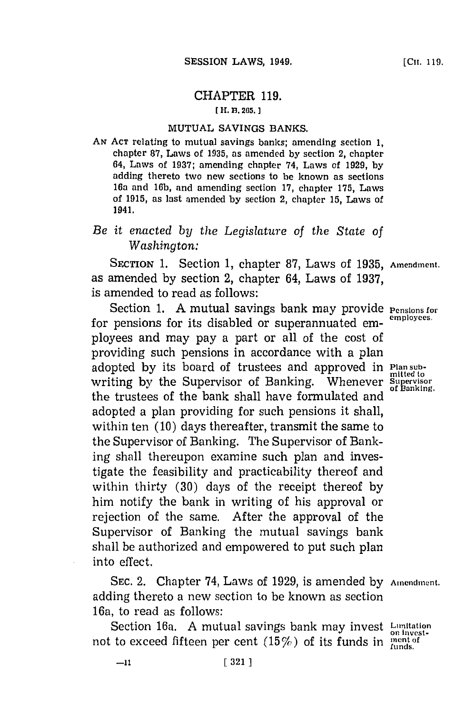# CHAPTER **119.**

#### **[ H. B. 265.**

### **MUTUAL** SAVINGS **BANKS.**

**AN ACT** relating to mutual savings banks; amending section **1,** chapter **87,** Laws of **1935,** as amended **by** section 2, chapter 64, Laws of **1937;** amending chapter 74, Laws of **1929, by** adding thereto two new sections to be known as sections 16a and **16b,** and amending section **17,** chapter **175,** Laws of **1915,** as last amended **by** section 2, chapter **15,** Laws of 1941.

# *Be it enacted by the Legislature of the State of Washington:*

SECTION **1.** Section **1,** chapter **87,** Laws of **1935, Amendment.** as amended **by** section 2, chapter 64, Laws of **1937,** is amended to read as follows:

Section 1. A mutual savings bank may provide **Pensions for** numerical state of  $\frac{1}{2}$  methods of *Pensions* for  $\frac{1}{2}$  and  $\frac{1}{2}$  methods of *Pensions* for  $\frac{1}{2}$  and  $\frac{1}{2}$  and  $\frac{1}{2}$  and  $\frac{1}{2}$  and for pensions for its disabled or superannuated employees and may pay a part or all of the cost of providing such pensions in accordance with a plan adopted **by** its board of trustees and approved in **Plan submitted to** writing **by** the Supervisor of Banking. Whenever Supervisor the trustees of the bank shall have formulated and  $\sigma$ <sup>6</sup>  $\mu$ Bankin adopted a plan providing for such pensions it shall, within ten **(10)** days thereafter, transmit the same to the Supervisor of Banking. The Supervisor of Banking shall thereupon examine such plan and investigate the feasibility and practicability thereof and within thirty **(30)** days of the receipt thereof **by** him notify the bank in writing of his approval or rejection of the same. After the approval of the Supervisor of Banking the mutual savings bank shall be authorized and empowered to put such plan into effect.

SEC. 2. Chapter 74, Laws of 1929, is amended by Amendment. adding thereto a new section to be known as section 16a, to read as follows:

Section 16a. A mutual savings bank may invest **Lumitation** not to exceed fifteen per cent  $(15\%)$  of its funds in  $\frac{\text{mmets}}{\text{funds}}$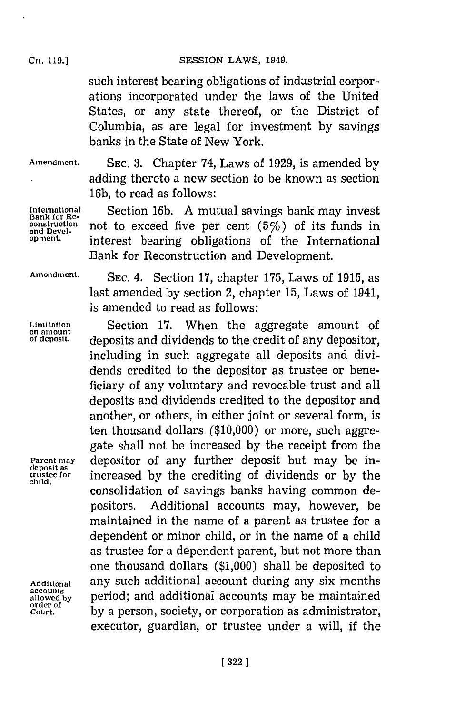# CH. **119.) SESSION** LAWS, 1949.

such interest bearing obligations of industrial corporations incorporated under the laws of the United States, or any state thereof, or the District of Columbia, as are legal for investment by savings banks in the State of New York.

**Bank for Reand Devel-**

**child.**

**accounts order of**

**Amendment. SEC. 3.** Chapter '74, Laws of **1929,** is amended **by** adding thereto a new section to be known as section **16b,** to read as follows:

**International** Section **16b. A** mutual savings bank may invest **construction** not to exceed five per cent *(5%)* of its funds in **opment.** interest bearing obligations of the International Bank for Reconstruction and Development.

**Amendment. SEC.** 4. Section **17,** chapter **175,** Laws of **1915,** as last amended **by** section 2, chapter **15,** Laws of 1941, is amended to read as follows:

Limitation **Section 17. When the aggregate amount of ansulation**<br>of amount *denosits and dividends to the credit of any denositor* deposits and dividends to the credit of any depositor. including in such aggregate all deposits and dividends credited to the depositor as trustee or beneficiary of any voluntary and revocable trust and all deposits and dividends credited to the depositor and another, or others, in either joint or several form, is ten thousand dollars **(\$10,000)** or more, such aggregate shall not be increased **by** the receipt from the Parent may depositor of any further deposit but may be intrse fo~r increased **by** the crediting of dividends or **by** the consolidation of savings banks having common depositors. Additional accounts may, however, be maintained in the name of a parent as trustee for a dependent or minor child, or in the name of a child as trustee for a dependent parent, but not more than one thousand dollars **(\$1,000)** shall be deposited to **Additional** any such additional account during any six months period; and additional accounts may be maintained **Court. by** a person, society, or corporation as administrator, executor, guardian, or trustee under a will, if the